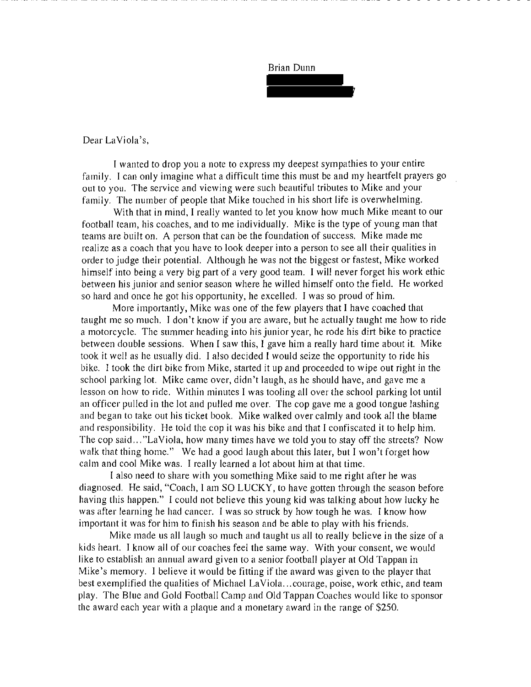

Dear La Viola's,

I wanted to drop you a note to express my deepest sympathies to your entire family. I can only imagine what a difficult time this must be and my heartfelt prayers go out to you. The service and viewing were such beautiful tributes to Mike and your family. The number of people that Mike touched in his short life is overwhelming.

With that in mind, I really wanted to let you know how much Mike meant to our football team, his coaches, and to me individually. Mike is the type of young man that teams are built on. A person that can be the foundation of success. Mike made me realize as a coach that you have to look deeper into a person to see all their qualities in order to judge their potential. Although he was not the biggest or fastest, Mike worked himself into being a very big part of a very good team. I will never forget his work ethic between his junior and senior season where he willed himself onto the field. He worked so hard and once he got his opportunity, he excelled. I was so proud of him.

More importantly, Mike was one of the few players that I have coached that taught me so much. I don't know if you are aware, but he actually taught me how to ride a motorcycle. The summer heading into his junior year, he rode his dirt bike to practice between double sessions. When I saw this, I gave him a really hard time about it. Mike took it well as he usually did. I also decided I would seize the opportunity to ride his bike. I took the dirt bike from Mike, started it up and proceeded to wipe out right in the school parking lot. Mike came over, didn't laugh, as he should have, and gave me a lesson on how to ride. Within minutes I was tooling all over the school parking Jot until an officer pulled in the lot and pulled me over. The cop gave me a good tongue lashing and began to take out his ticket book. Mike walked over calmly and took all the blame and responsibility. He told the cop it was his bike and that I confiscated it to help him. The cop said ... "LaViola, how many times have we told you to stay off the streets? Now walk that thing home." We had a good laugh about this later, but I won't forget how calm and cool Mike was. I really learned a Jot about him at that time.

I also need to share with you something Mike said to me right after he was diagnosed. He said, "Coach, I am SO LUCKY, to have gotten through the season before having this happen." I could not believe this young kid was talking about how lucky he was after learning he had cancer. I was so struck by how tough he was. I know how important it was for him to finish his season and be able to play with his friends.

Mike made us all laugh so much and taught us all to really believe in the size of a kids heart. I know all of our coaches feel the same way. With your consent, we would like to establish an annual award given to a senior football player at Old Tappan in Mike's memory. I believe it would be fitting if the award was given to the player that best exemplified the qualities of Michael La Viola ... courage, poise, work ethic, and team play. The Blue and Gold Football Camp and Old Tappan Coaches would like to sponsor the award each year with a plaque and a monetary award in the range of \$250.